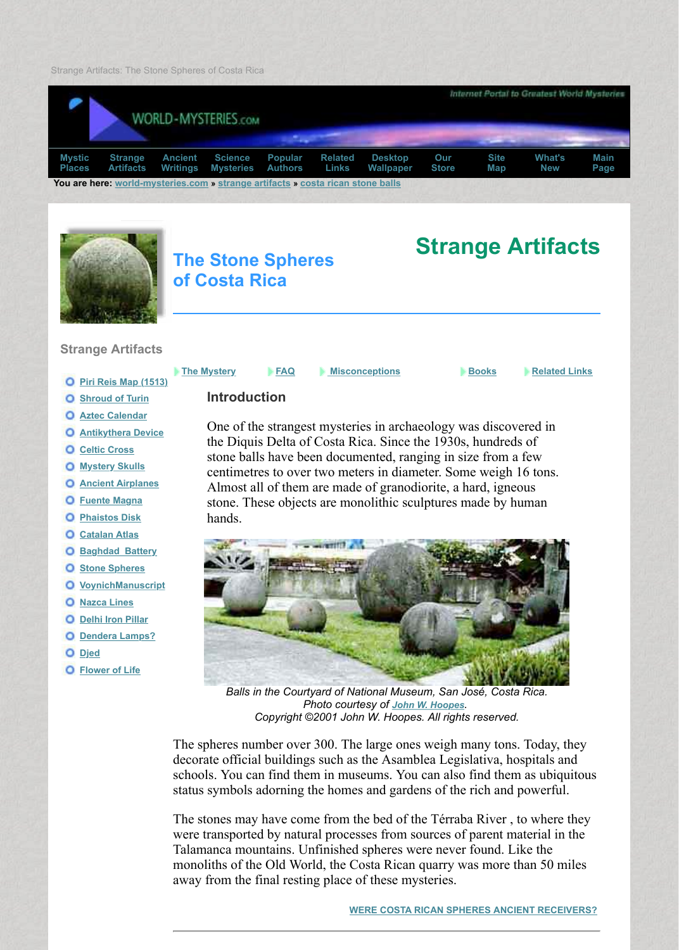

## **of Costa Rica**

## **Strange Artifacts**

- **Piri Reis Map (1513)**
- **O** Shroud of Turin
- **Aztec Calendar**
- **[An](http://web.archive.org/web/20160116024628/http://www.world-mysteries.com/mpl.htm)tik[ythera Dev](http://web.archive.org/web/20160116024628/http://www.world-mysteries.com/sar.htm)ic[e](http://web.archive.org/web/20160116024628/http://www.world-mysteries.com/awr.htm)**
- **Celtic Cross**
- **Myster[y Skulls](http://web.archive.org/web/20160116024628/http://www.world-mysteries.com/)**
- **Ancient Airplanes**
- **Fuente Magna**
- **Phaistos Disk**
- **Catalan Atlas**
- **O** Baghdad Battery
- **O** Stone Spheres
- **VoynichManuscript**
- **O** Nazca Lines
- **Delhi Iron Pillar**
- **O** Dendera Lamps?
- **[Djed](http://web.archive.org/web/20160116024628/http://www.world-mysteries.com/sar_1.htm)**
- **[Flower of Life](http://web.archive.org/web/20160116024628/http://www.world-mysteries.com/sar_2.htm)**

### **FAQ Misconceptions Books**

# **Introduction**

[One of the strangest mysteries in archaeology was discovered in](http://web.archive.org/web/20160116024628/http://www.world-mysteries.com/index.html) the strangest mysteries in archaeology was discov [the Diqui](http://web.archive.org/web/20160116024628/http://www.world-mysteries.com/sci.htm)s [Delta o](http://web.archive.org/web/20160116024628/http://www.world-mysteries.com/pex.htm)f [Costa R](http://web.archive.org/web/20160116024628/http://www.world-mysteries.com/lnx.htm)ic[a. Since](http://web.archive.org/web/20160116024628/http://www.world-mysteries.com/wm_dwp.htm) the [1930](http://web.archive.org/web/20160116024628/http://www.world-mysteries.com/wms_index.htm)s, hu[ndre](http://web.archive.org/web/20160116024628/http://www.world-mysteries.com/index_map.html)ds st[one balls have](http://web.archive.org/web/20160116024628/http://www.world-mysteries.com/sar.htm) [been documented, r](http://web.archive.org/web/20160116024628/http://www.world-mysteries.com/sar_12.htm)anging in size from a centimetres to over two meters in diameter. Some weigh 16 Almost all of them are made of granodiorite, a hard, igneed stone. These objects are monolithic sculptures made by humanne hands.



Balls in the Courtyard of National Museum, San José, Costa *Photo courtesy of John W. Hoopes. Copyright ©2001 John W. Hoopes. All rights reserved.*

The spheres number over 300. The large ones weigh many tons. decorate official buildings such as the Asamblea Legislativa, ho schools. You can find them in museums. You can also find them status symbols adorning the homes and gardens of the rich and powerful.

The stones may have come from the bed of the Térraba River, to were transported by natural processes from sources of parent material Talamanca mountains. Unfinished spheres were never found. Li monoliths of the Old World, the Costa Rican quarry was more than away from the final resting place of these mysteries.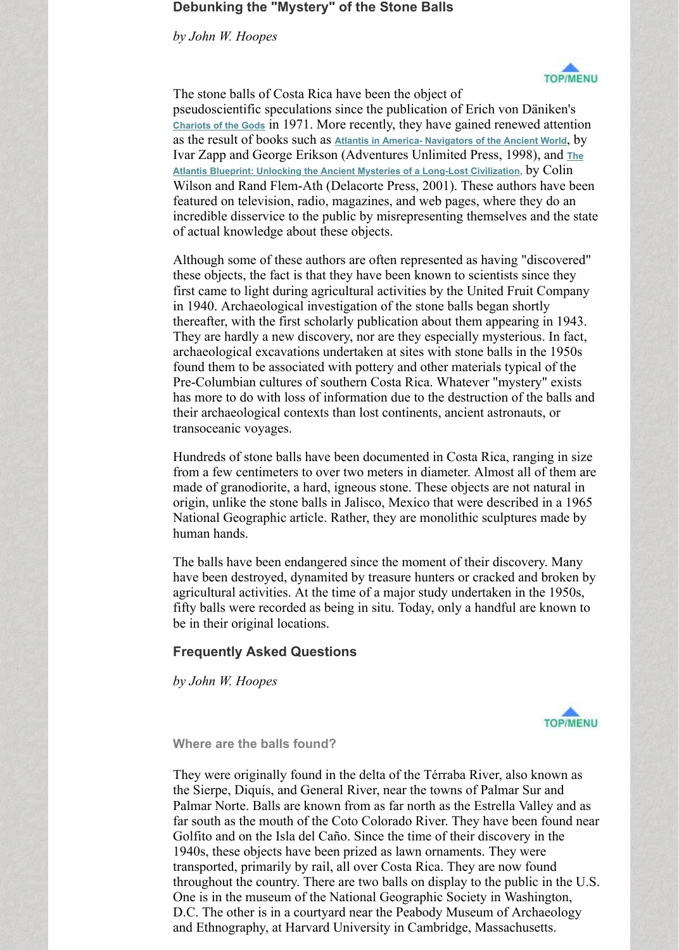these objects, the fact is that they have been known to scientists since they first came to light during agricultural activities by the United Fr in 1940. Archaeological investigation of the stone balls began shortly thereafter, with the first scholarly publication about them appearing them in 1943. They are hardly a new discovery, nor are they especially myster archaeological excavations undertaken at sites with stone balls in found them to be associated with pottery and other materials typical of them Pre-Columbian cultures of southern Costa Rica. Whatever "mystery" [has more to do w](http://web.archive.org/web/20160116024628/http://www.amazon.com/exec/obidos/ASIN/0808511122/worldmyster07-20/)ith loss of information due to the destruction of their archaeological contexts than lost continents, ancient astron transoceanic voyages.

[Hundreds of stone balls have been documented in Costa Rica, ranging in siz](http://web.archive.org/web/20160116024628/http://www.amazon.com/exec/obidos/ASIN/0385334796/worldmyster07-20)e in size in size in size in size in size in size in size in size in size in size in size in size in size in size in size in size in size in size in from a few centimeters to over two meters in diameter. Almost made of granodiorite, a hard, igneous stone. These objects are not origin, unlike the stone balls in Jalisco, Mexico that were described in a 1965 origin. National Geographic article. Rather, they are monolithic sculptures are made by  $\mathbb{R}$ human hands.

The balls have been endangered since the moment of their discovery. have been destroyed, dynamited by treasure hunters or cracked agricultural activities. At the time of a major study undertaken in fifty balls were recorded as being in situ. Today, only a handful be in their original locations.

# **Frequently Asked Questions**

*by John W. Hoopes*

**Where are the balls found?**

They were originally found in the delta of the Térraba River, also the Sierpe, Diquís, and General River, near the towns of Palmar Palmar Norte. Balls are known from as far north as the Estrella far south as the mouth of the Coto Colorado River. They have been found to the Coto Colorado River. Golfito and on the Isla del Caño. Since the time of their discover 1940s, these objects have been prized as lawn ornaments. They transported, primarily by rail, all over Costa Rica. They are now throughout the country. There are two balls on display to the pu One is in the museum of the National Geographic Society in Washington, the National Geographic Society in Washington,  $\frac{d}{dt}$ D.C. The other is in a courtyard near the Peabody Museum of A and Ethnography, at Harvard University in Cambridge, Massachusetts.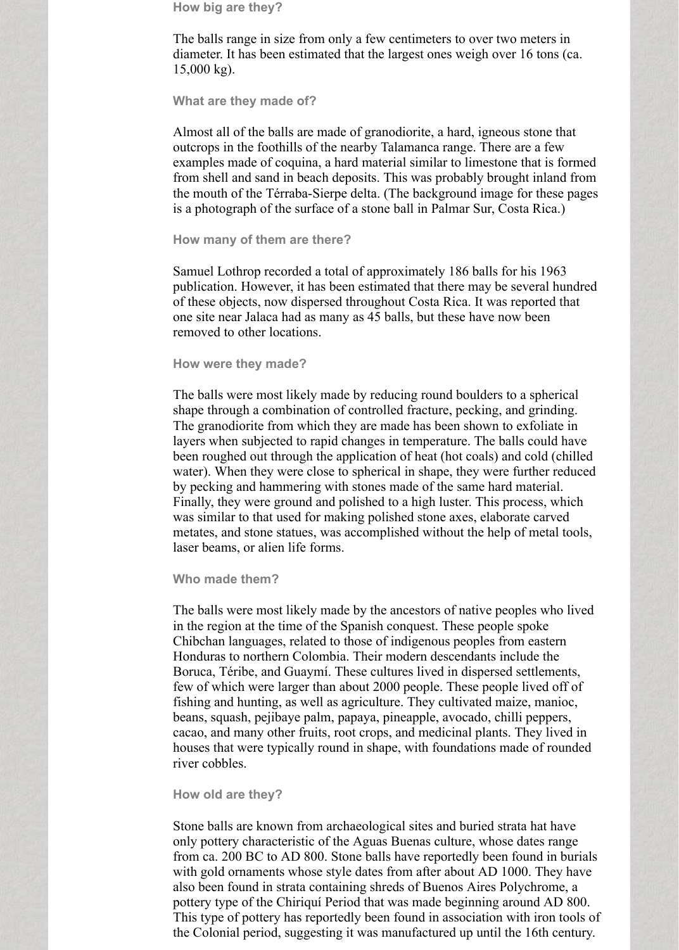**How big are they?**

The balls range in size from only a few centimeters to over two meters in diameter. It has been estimated that the largest ones weigh over 16 tons (ca. 15,000 kg).

**What are they made of?**

Almost all of the balls are made of granodiorite, a hard, igneous stone that outcrops in the foothills of the nearby Talamanca range. There are a few examples made of coquina, a hard material similar to limestone that is formed from shell and sand in beach deposits. This was probably brought inland from the mouth of the Térraba-Sierpe delta. (The background image for these pages is a photograph of the surface of a stone ball in Palmar Sur, Costa Rica.)

#### **How many of them are there?**

Samuel Lothrop recorded a total of approximately 186 balls for his 1963 publication. However, it has been estimated that there may be several hundred of these objects, now dispersed throughout Costa Rica. It was reported that one site near Jalaca had as many as 45 balls, but these have now been removed to other locations.

#### **How were they made?**

The balls were most likely made by reducing round boulders to a spherical shape through a combination of controlled fracture, pecking, and grinding. The granodiorite from which they are made has been shown to exfoliate in layers when subjected to rapid changes in temperature. The balls could have been roughed out through the application of heat (hot coals) and cold (chilled water). When they were close to spherical in shape, they were further reduced by pecking and hammering with stones made of the same hard material. Finally, they were ground and polished to a high luster. This process, which was similar to that used for making polished stone axes, elaborate carved metates, and stone statues, was accomplished without the help of metal tools, laser beams, or alien life forms.

### **Who made them?**

The balls were most likely made by the ancestors of native peoples who lived in the region at the time of the Spanish conquest. These people spoke Chibchan languages, related to those of indigenous peoples from eastern Honduras to northern Colombia. Their modern descendants include the Boruca, Téribe, and Guaymí. These cultures lived in dispersed settlements, few of which were larger than about 2000 people. These people lived off of fishing and hunting, as well as agriculture. They cultivated maize, manioc, beans, squash, pejibaye palm, papaya, pineapple, avocado, chilli peppers, cacao, and many other fruits, root crops, and medicinal plants. They lived in houses that were typically round in shape, with foundations made of rounded river cobbles.

### **How old are they?**

Stone balls are known from archaeological sites and buried strata hat have only pottery characteristic of the Aguas Buenas culture, whose dates range from ca. 200 BC to AD 800. Stone balls have reportedly been found in burials with gold ornaments whose style dates from after about AD 1000. They have also been found in strata containing shreds of Buenos Aires Polychrome, a pottery type of the Chiriquí Period that was made beginning around AD 800. This type of pottery has reportedly been found in association with iron tools of the Colonial period, suggesting it was manufactured up until the 16th century.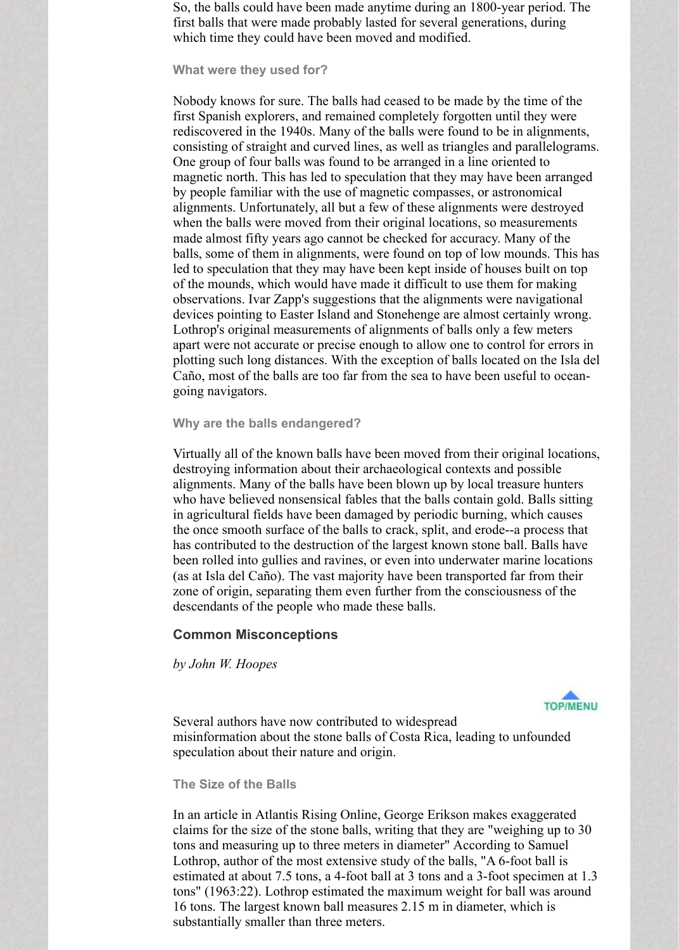So, the balls could have been made anytime during an 1800-year period. The first balls that were made probably lasted for several generations, during which time they could have been moved and modified.

**What were they used for?**

Nobody knows for sure. The balls had ceased to be made by the time of the first Spanish explorers, and remained completely forgotten until they were rediscovered in the 1940s. Many of the balls were found to be in alignments, consisting of straight and curved lines, as well as triangles and parallelograms. One group of four balls was found to be arranged in a line oriented to magnetic north. This has led to speculation that they may have been arranged by people familiar with the use of magnetic compasses, or astronomical alignments. Unfortunately, all but a few of these alignments were destroyed when the balls were moved from their original locations, so measurements made almost fifty years ago cannot be checked for accuracy. Many of the balls, some of them in alignments, were found on top of low mounds. This has led to speculation that they may have been kept inside of houses built on top of the mounds, which would have made it difficult to use them for making observations. Ivar Zapp's suggestions that the alignments were navigational devices pointing to Easter Island and Stonehenge are almost certainly wrong. Lothrop's original measurements of alignments of balls only a few meters apart were not accurate or precise enough to allow one to control for errors in plotting such long distances. With the exception of balls located on the Isla del Caño, most of the balls are too far from the sea to have been useful to oceangoing navigators.

### **Why are the balls endangered?**

Virtually all of the known balls have been moved from their original locations, destroying information about their archaeological contexts and possible alignments. Many of the balls have been blown up by local treasure hunters who have believed nonsensical fables that the balls contain gold. Balls sitting in agricultural fields have been damaged by periodic burning, which causes the once smooth surface of the balls to crack, split, and erode--a process that has contributed to the destruction of the largest known stone ball. Balls have been rolled into gullies and ravines, or even into underwater marine locations (as at Isla del Caño). The vast majority have been transported far from their zone of origin, separating them even further from the consciousness of the descendants of the people who made these balls.

# **Common Misconceptions**

*by John W. Hoopes*



Several authors have now contributed to widespread misinformation about the stone balls of Costa Rica, leading to unfounded speculation about their nature and origin.

### **The Size of the Balls**

In an article in Atlantis Rising Online, George Erikson makes exaggerated claims for the size of the stone balls, writing that they are "weighing up to 30 tons and measuring up to three meters in diameter" According to Samuel Lothrop, author of the most extensive study of the balls, "A 6-foot ball is estimated at about 7.5 tons, a 4-foot ball at 3 tons and a 3-foot specimen at 1.3 tons" (1963:22). Lothrop estimated the maximum weight for ball was around 16 tons. The largest known ball measures 2.15 m in diameter, which is substantially smaller than three meters.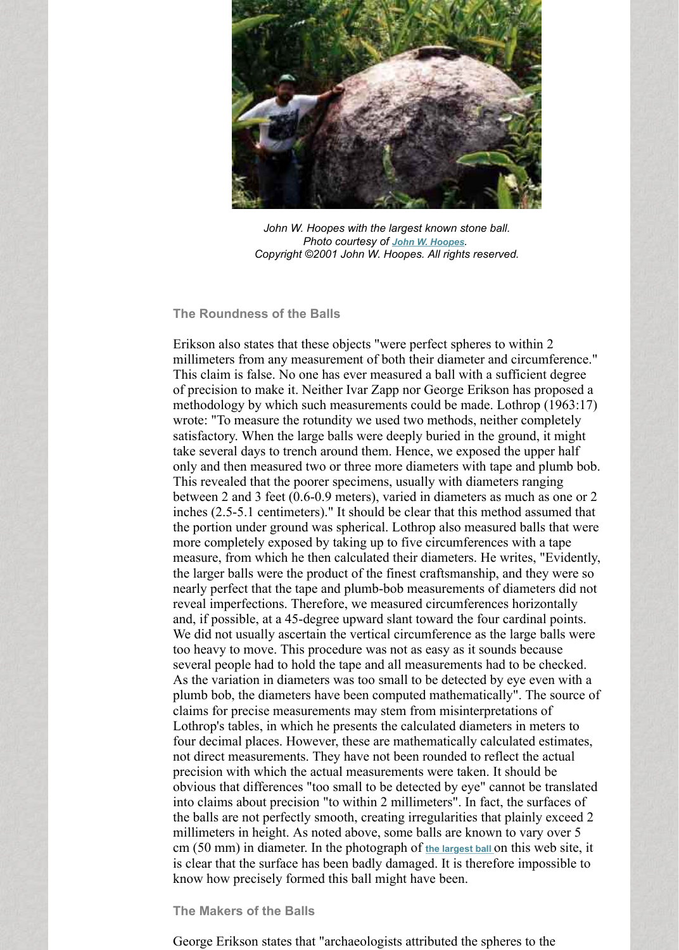## **The Roundness of the Balls**

Erikson also states that these objects "were perfect spheres to w millimeters from any measurement of both their diameter and circumference." This claim is false. No one has ever measured a ball with a sufficient of the sufficient of  $\alpha$ of precision to make it. Neither Ivar Zapp nor George Erikson h methodology by which such measurements could be made. Loth wrote: "To measure the rotundity we used two methods, neither satisfactory. When the large balls were deeply buried in the ground, it also when the large balls were deeply buried in the ground, it also satisfactory. take several days to trench around them. Hence, we exposed the only and then measured two or three more diameters with tape and plumb both. This revealed that the poorer specimens, usually with diameters between 2 and 3 feet  $(0.6-0.9 \text{ meters})$ , varied in diameters as mu inches  $(2.5-5.1$  centimeters)." It should [be clear that th](http://web.archive.org/web/20160116024628/http://john.hoopes.com/)is method the portion under ground was spherical. Lothrop also measured more completely exposed by taking up to five circumferences where measure, from which he then calculated their diameters. He write the larger balls were the product of the finest craftsmanship, and nearly perfect that the tape and plumb-bob measurements of diameters of diameters of diameters and not not measurements of diameters and not measurements of diameters and not measurements of diameters and not measurements. reveal imperfections. Therefore, we measured circumferences h and, if possible, at a 45-degree upward slant toward the four car We did not usually ascertain the vertical circumference as the large balls were balls were balls were balls were balls were as the large balls were difference as the large balls were difference as the large balls were diff too heavy to move. This procedure was not as easy as it sounds several people had to hold the tape and all measurements had to As the variation in diameters was too small to be detected by eye plumb bob, the diameters have been computed mathematically" claims for precise measurements may stem from misinterpretations of  $\alpha$ Lothrop's tables, in which he presents the calculated diameters in four decimal places. However, these are mathematically calculationnot direct measurements. They have not been rounded to reflect precision with which the actual measurements were taken. It should be precision obvious that differences "too small to be detected by eye" cannot into claims about precision "to within 2 millimeters". In fact, the the balls are not perfectly smooth, creating irregularities that planely millimeters in height. As noted above, some balls are known to cm (50 mm) in diameter. In the photograph of the largest ball on the is clear that the surface has been badly damaged. It is therefore know how precisely formed this ball might have been.

### **The Makers of the Balls**

George Erikson states that "archaeologists attributed the spheres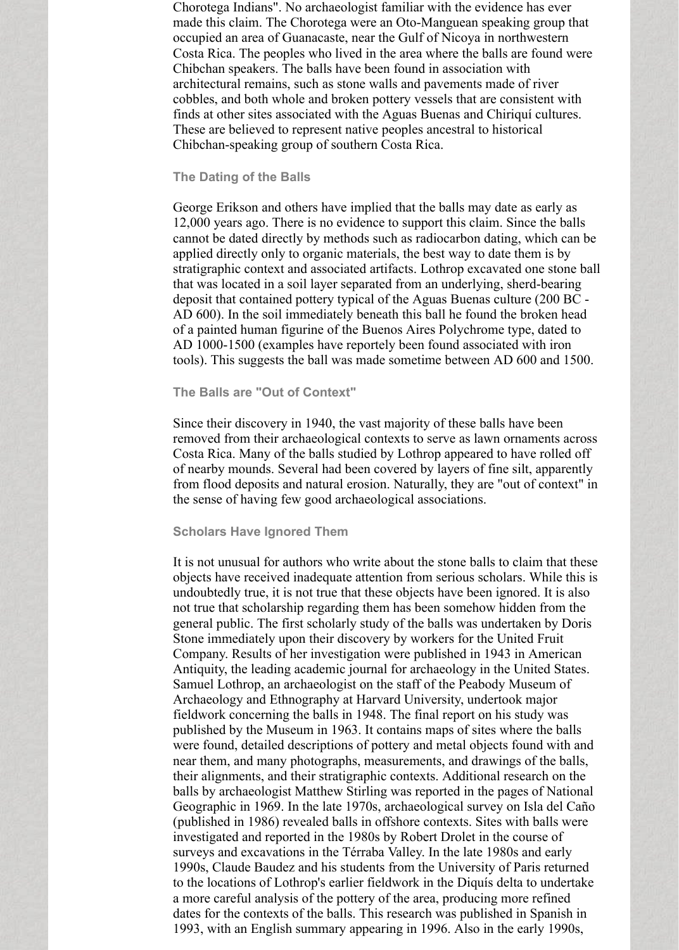Chorotega Indians". No archaeologist familiar with the evidence has ever made this claim. The Chorotega were an Oto-Manguean speaking group that occupied an area of Guanacaste, near the Gulf of Nicoya in northwestern Costa Rica. The peoples who lived in the area where the balls are found were Chibchan speakers. The balls have been found in association with architectural remains, such as stone walls and pavements made of river cobbles, and both whole and broken pottery vessels that are consistent with finds at other sites associated with the Aguas Buenas and Chiriquí cultures. These are believed to represent native peoples ancestral to historical Chibchan-speaking group of southern Costa Rica.

### **The Dating of the Balls**

George Erikson and others have implied that the balls may date as early as 12,000 years ago. There is no evidence to support this claim. Since the balls cannot be dated directly by methods such as radiocarbon dating, which can be applied directly only to organic materials, the best way to date them is by stratigraphic context and associated artifacts. Lothrop excavated one stone ball that was located in a soil layer separated from an underlying, sherd-bearing deposit that contained pottery typical of the Aguas Buenas culture (200 BC - AD 600). In the soil immediately beneath this ball he found the broken head of a painted human figurine of the Buenos Aires Polychrome type, dated to AD 1000-1500 (examples have reportely been found associated with iron tools). This suggests the ball was made sometime between AD 600 and 1500.

### **The Balls are "Out of Context"**

Since their discovery in 1940, the vast majority of these balls have been removed from their archaeological contexts to serve as lawn ornaments across Costa Rica. Many of the balls studied by Lothrop appeared to have rolled off of nearby mounds. Several had been covered by layers of fine silt, apparently from flood deposits and natural erosion. Naturally, they are "out of context" in the sense of having few good archaeological associations.

#### **Scholars Have Ignored Them**

It is not unusual for authors who write about the stone balls to claim that these objects have received inadequate attention from serious scholars. While this is undoubtedly true, it is not true that these objects have been ignored. It is also not true that scholarship regarding them has been somehow hidden from the general public. The first scholarly study of the balls was undertaken by Doris Stone immediately upon their discovery by workers for the United Fruit Company. Results of her investigation were published in 1943 in American Antiquity, the leading academic journal for archaeology in the United States. Samuel Lothrop, an archaeologist on the staff of the Peabody Museum of Archaeology and Ethnography at Harvard University, undertook major fieldwork concerning the balls in 1948. The final report on his study was published by the Museum in 1963. It contains maps of sites where the balls were found, detailed descriptions of pottery and metal objects found with and near them, and many photographs, measurements, and drawings of the balls, their alignments, and their stratigraphic contexts. Additional research on the balls by archaeologist Matthew Stirling was reported in the pages of National Geographic in 1969. In the late 1970s, archaeological survey on Isla del Caño (published in 1986) revealed balls in offshore contexts. Sites with balls were investigated and reported in the 1980s by Robert Drolet in the course of surveys and excavations in the Térraba Valley. In the late 1980s and early 1990s, Claude Baudez and his students from the University of Paris returned to the locations of Lothrop's earlier fieldwork in the Diquís delta to undertake a more careful analysis of the pottery of the area, producing more refined dates for the contexts of the balls. This research was published in Spanish in 1993, with an English summary appearing in 1996. Also in the early 1990s,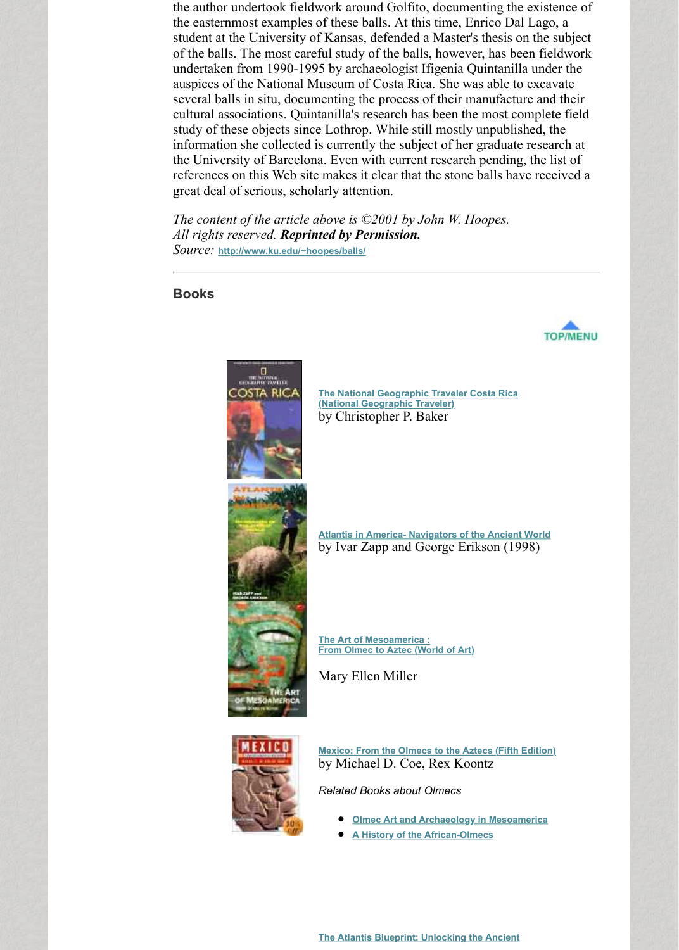## **Books**



**The National Geographic Traveler Costa Rica (National Geographic Traveler)** by Christopher P. Baker

**[Atlantis in A](http://web.archive.org/web/20160116024628/http://www.ku.edu/~hoopes/balls/)merica- Navigators of the Ancient** by Ivar Zapp and George Erikson (19

**The Art of Mesoamerica : From Olmec to Aztec (World of Art)**

[Mary Ellen Miller](http://web.archive.org/web/20160116024628/http://www.amazon.com/exec/obidos/ASIN/0792279468/worldmyster07-20/)



**Mexico: From the Olmecs to the Aztecs (Fifth** by Michael D. Coe, Rex Koontz

*Related Books about Olmecs*

- **Olmec Art and Archaeology in Mesoar**
- **A History of the African-Olmecs**  $\bullet$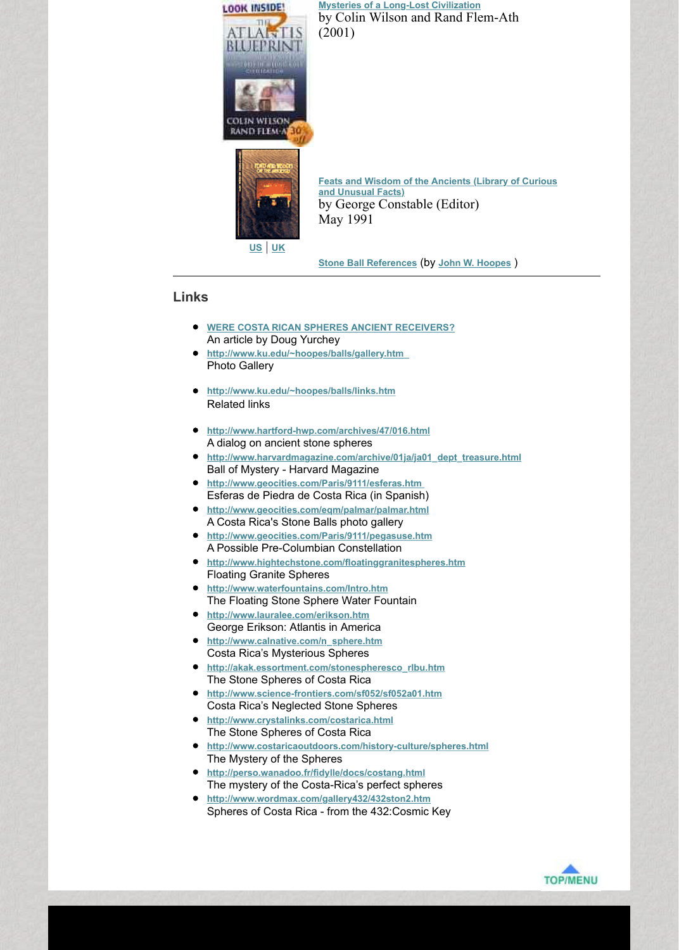## **Links**

- **WERE COSTA RICAN SPHERES ANCIENT RECEIVERS?** An article by Doug Yurchey
- **http://www.ku.edu/~hoopes/balls/gallery.htm**  Photo Gallery
- **http://www.ku.edu/~hoopes/balls/links.htm** Related links
- **http://www.hartford-hwp.com/archives/47/016.html** A dialog on ancient stone spheres
- **http://www.harvardmaga[zine.com/archive/01ja/ja01\\_dept\\_treasure.html](http://web.archive.org/web/20160116024628/http://www.amazon.com/exec/obidos/ASIN/0809476754/worldmyster07-20/)** Ball of Mystery - Harvard Magazine
- **http://www.geocities.com/Paris/9111/esferas.htm**  Esferas de Piedra de Costa Rica (in Spanish)
- **http://www.geocities.com/eqm/palmar/palmar.html** A Costa [Ric](http://web.archive.org/web/20160116024628/http://www.amazon.com/exec/obidos/ASIN/0809476754/worldmyster07-20/)[a](http://web.archive.org/web/20160116024628/http://www.amazon.co.uk/exec/obidos/ASIN/0809476754/worldmysterie-21/)'[s S](http://web.archive.org/web/20160116024628/http://www.amazon.co.uk/exec/obidos/ASIN/0809476754/worldmysterie-21/)tone Balls photo gallery
- **http://www.geocities.co[m/Paris/9111/pegasuse.h](http://web.archive.org/web/20160116024628/http://www.ku.edu/~hoopes/balls/refs.htm)tm** A Possible Pre-Columbian Constellation
- **http://www.hightechstone.com/floatinggranitespheres.htm** Floating Granite Spheres
- **http://www.waterfountains.com/Intro.htm** [The Floating Stone Sphere Water Fountain](http://web.archive.org/web/20160116024628/http://www.world-mysteries.com/sar_crb_doug.htm)
- **http://www.lauralee.com/erikson.htm** [George Erikson: Atlantis in America](http://web.archive.org/web/20160116024628/http://www.ku.edu/~hoopes/balls/gallery.htm)
- **http://www.calnative.com/n\_sphere.htm** Costa Rica's Mysterious Spheres
- **[http://akak.essortment.com/stonespheresc](http://web.archive.org/web/20160116024628/http://www.ku.edu/~hoopes/balls/links.htm)o\_rlbu.htm** The Stone Spheres of Costa Rica
- **http://www.science-frontiers.com/sf052/sf052a01.htm** [Costa Rica's Neglected Stone Spheres](http://web.archive.org/web/20160116024628/http://www.hartford-hwp.com/archives/47/016.html)
- **http://www.crystalinks.com/costarica.html** [The Stone Spheres of Costa Rica](http://web.archive.org/web/20160116024628/http://www.harvardmagazine.com/archive/01ja/ja01_dept_treasure.html)
- **http://www.costaricaoutdoors.com/history-culture/spheres.html** [The Mystery of the Spheres](http://web.archive.org/web/20160116024628/http://www.geocities.com/Paris/9111/esferas.htm)
- **http://perso.wanadoo.fr/fidylle/docs/costang.html** [The mystery of the Costa-Rica's perfect spher](http://web.archive.org/web/20160116024628/http://www.geocities.com/eqm/palmar/palmar.html)es
- **http://www.wordmax.com/gallery432/432ston2.htm** [Spheres of Costa Rica - from the 432:Cosmic K](http://web.archive.org/web/20160116024628/http://www.geocities.com/Paris/9111/pegasuse.htm)ey